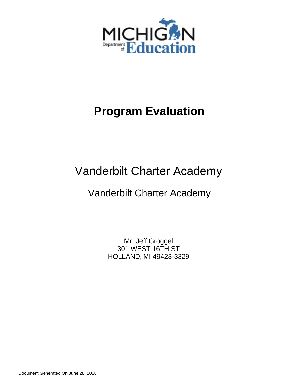

# **Program Evaluation**

# Vanderbilt Charter Academy

# Vanderbilt Charter Academy

Mr. Jeff Groggel 301 WEST 16TH ST HOLLAND, MI 49423-3329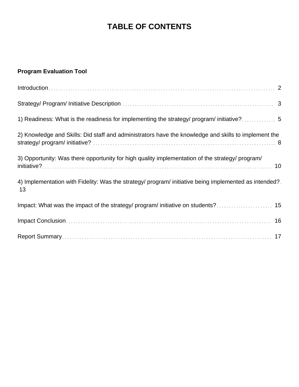# **TABLE OF CONTENTS**

# **Program Evaluation Tool**

| $Introduction \dots 2$                                                                                      |
|-------------------------------------------------------------------------------------------------------------|
|                                                                                                             |
| 1) Readiness: What is the readiness for implementing the strategy/ program/ initiative?                     |
| 2) Knowledge and Skills: Did staff and administrators have the knowledge and skills to implement the        |
| 3) Opportunity: Was there opportunity for high quality implementation of the strategy/ program/             |
| 4) Implementation with Fidelity: Was the strategy/ program/ initiative being implemented as intended?<br>13 |
|                                                                                                             |
|                                                                                                             |
|                                                                                                             |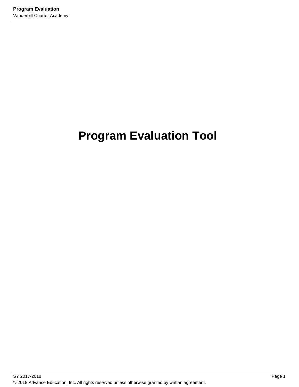# **Program Evaluation Tool**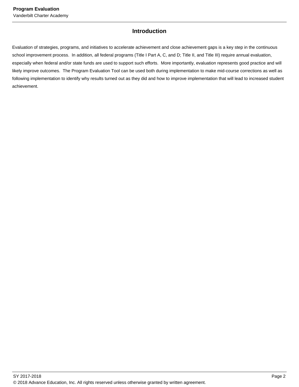# **Introduction**

Evaluation of strategies, programs, and initiatives to accelerate achievement and close achievement gaps is a key step in the continuous school improvement process. In addition, all federal programs (Title I Part A, C, and D; Title II, and Title III) require annual evaluation, especially when federal and/or state funds are used to support such efforts. More importantly, evaluation represents good practice and will likely improve outcomes. The Program Evaluation Tool can be used both during implementation to make mid-course corrections as well as following implementation to identify why results turned out as they did and how to improve implementation that will lead to increased student achievement.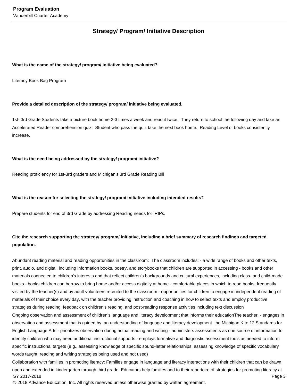# **Strategy/ Program/ Initiative Description**

#### **What is the name of the strategy/ program/ initiative being evaluated?**

Literacy Book Bag Program

#### **Provide a detailed description of the strategy/ program/ initiative being evaluated.**

1st- 3rd Grade Students take a picture book home 2-3 times a week and read it twice. They return to school the following day and take an Accelerated Reader comprehension quiz. Student who pass the quiz take the next book home. Reading Level of books consistently increase.

#### **What is the need being addressed by the strategy/ program/ initiative?**

Reading proficiency for 1st-3rd graders and Michigan's 3rd Grade Reading Bill

#### **What is the reason for selecting the strategy/ program/ initiative including intended results?**

Prepare students for end of 3rd Grade by addressing Reading needs for IRIPs.

### **Cite the research supporting the strategy/ program/ initiative, including a brief summary of research findings and targeted population.**

Abundant reading material and reading opportunities in the classroom: The classroom includes: - a wide range of books and other texts, print, audio, and digital, including information books, poetry, and storybooks that children are supported in accessing - books and other materials connected to children's interests and that reflect children's backgrounds and cultural experiences, including class- and child-made books - books children can borrow to bring home and/or access digitally at home - comfortable places in which to read books, frequently visited by the teacher(s) and by adult volunteers recruited to the classroom - opportunities for children to engage in independent reading of materials of their choice every day, with the teacher providing instruction and coaching in how to select texts and employ productive strategies during reading, feedback on children's reading, and post-reading response activities including text discussion Ongoing observation and assessment of children's language and literacy development that informs their educationThe teacher: - engages in observation and assessment that is guided by an understanding of language and literacy development the Michigan K to 12 Standards for English Language Arts - prioritizes observation during actual reading and writing - administers assessments as one source of information to identify children who may need additional instructional supports - employs formative and diagnostic assessment tools as needed to inform specific instructional targets (e.g., assessing knowledge of specific sound-letter relationships, assessing knowledge of specific vocabulary words taught, reading and writing strategies being used and not used)

Collaboration with families in promoting literacy: Families engage in language and literacy interactions with their children that can be drawn upon and extended in kindergarten through third grade. Educators help families add to their repertoire of strategies for promoting literacy at SY 2017-2018 Page 3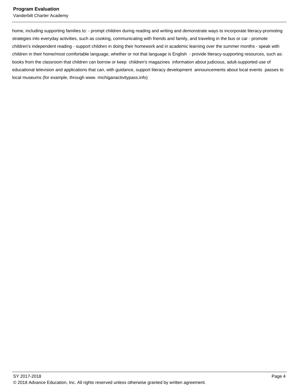home, including supporting families to: - prompt children during reading and writing and demonstrate ways to incorporate literacy-promoting strategies into everyday activities, such as cooking, communicating with friends and family, and traveling in the bus or car - promote children's independent reading - support children in doing their homework and in academic learning over the summer months - speak with children in their home/most comfortable language, whether or not that language is English - provide literacy-supporting resources, such as: books from the classroom that children can borrow or keep children's magazines information about judicious, adult-supported use of educational television and applications that can, with guidance, support literacy development announcements about local events passes to local museums (for example, through www. michiganactivitypass.info)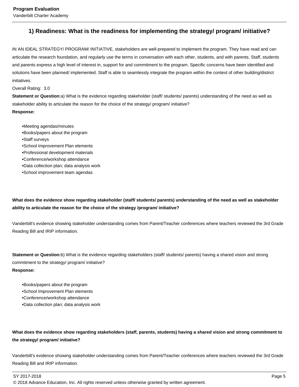# **1) Readiness: What is the readiness for implementing the strategy/ program/ initiative?**

IN AN IDEAL STRATEGY/ PROGRAM/ INITIATIVE, stakeholders are well-prepared to implement the program. They have read and can articulate the research foundation, and regularly use the terms in conversation with each other, students, and with parents. Staff, students and parents express a high level of interest in, support for and commitment to the program. Specific concerns have been identified and solutions have been planned/ implemented. Staff is able to seamlessly integrate the program within the context of other building/district initiatives.

#### Overall Rating: 3.0

**Statement or Question:**a) What is the evidence regarding stakeholder (staff/ students/ parents) understanding of the need as well as stakeholder ability to articulate the reason for the choice of the strategy/ program/ initiative?

#### **Response:**

• Meeting agendas/minutes

- Books/papers about the program
- Staff surveys
- School Improvement Plan elements
- Professional development materials
- Conference/workshop attendance
- Data collection plan; data analysis work
- School improvement team agendas

**What does the evidence show regarding stakeholder (staff/ students/ parents) understanding of the need as well as stakeholder ability to articulate the reason for the choice of the strategy /program/ initiative?** 

Vanderbilt's evidence showing stakeholder understanding comes from Parent/Teacher conferences where teachers reviewed the 3rd Grade Reading Bill and IRIP information.

**Statement or Question:**b) What is the evidence regarding stakeholders (staff/ students/ parents) having a shared vision and strong commitment to the strategy/ program/ initiative? **Response:**

• Books/papers about the program

- School Improvement Plan elements
- Conference/workshop attendance
- Data collection plan; data analysis work

### **What does the evidence show regarding stakeholders (staff, parents, students) having a shared vision and strong commitment to the strategy/ program/ initiative?**

Vanderbilt's evidence showing stakeholder understanding comes from Parent/Teacher conferences where teachers reviewed the 3rd Grade Reading Bill and IRIP information.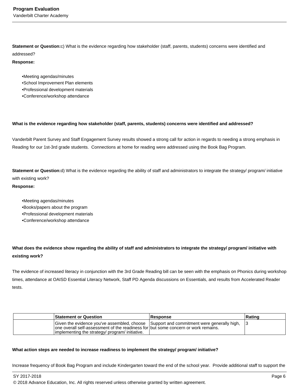**Statement or Question:**c) What is the evidence regarding how stakeholder (staff, parents, students) concerns were identified and addressed?

#### **Response:**

• Meeting agendas/minutes

- School Improvement Plan elements
- Professional development materials
- Conference/workshop attendance

#### **What is the evidence regarding how stakeholder (staff, parents, students) concerns were identified and addressed?**

Vanderbilt Parent Survey and Staff Engagement Survey results showed a strong call for action in regards to needing a strong emphasis in Reading for our 1st-3rd grade students. Connections at home for reading were addressed using the Book Bag Program.

**Statement or Question:**d) What is the evidence regarding the ability of staff and administrators to integrate the strategy/ program/ initiative with existing work?

#### **Response:**

• Meeting agendas/minutes

- Books/papers about the program
- Professional development materials
- Conference/workshop attendance

# **What does the evidence show regarding the ability of staff and administrators to integrate the strategy/ program/ initiative with existing work?**

The evidence of increased literacy in conjunction with the 3rd Grade Reading bill can be seen with the emphasis on Phonics during workshop times, attendance at OAISD Essential Literacy Network, Staff PD Agenda discussions on Essentials, and results from Accelerated Reader tests.

| <b>Statement or Question</b>                                                                                                           | Response                                                                                   | Rating |
|----------------------------------------------------------------------------------------------------------------------------------------|--------------------------------------------------------------------------------------------|--------|
| one overall self-assessment of the readiness for but some concern or work remains.<br> implementing the strategy/ program/ initiative. | Given the evidence you've assembled, choose Support and commitment were generally high, 13 |        |

#### **What action steps are needed to increase readiness to implement the strategy/ program/ initiative?**

Increase frequency of Book Bag Program and include Kindergarten toward the end of the school year. Provide additional staff to support the

SY 2017-2018 Page 6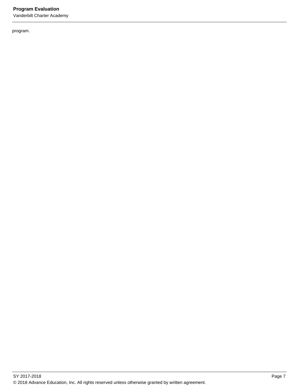# **Program Evaluation**

Vanderbilt Charter Academy

program.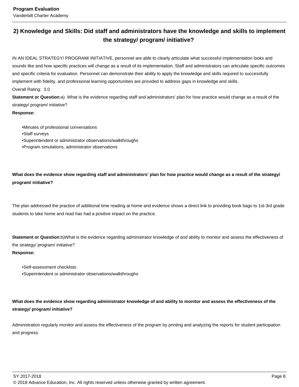# **2) Knowledge and Skills: Did staff and administrators have the knowledge and skills to implement the strategy/ program/ initiative?**

IN AN IDEAL STRATEGY/ PROGRAM/ INITIATIVE, personnel are able to clearly articulate what successful implementation looks and sounds like and how specific practices will change as a result of its implementation. Staff and administrators can articulate specific outcomes and specific criteria for evaluation. Personnel can demonstrate their ability to apply the knowledge and skills required to successfully implement with fidelity, and professional learning opportunities are provided to address gaps in knowledge and skills. Overall Rating: 3.0

**Statement or Question:**a) What is the evidence regarding staff and administrators' plan for how practice would change as a result of the strategy/ program/ initiative?

#### **Response:**

• Minutes of professional conversations • Staff surveys • Superintendent or administrator observations/walkthroughs • Program simulations, administrator observations

**What does the evidence show regarding staff and administrators' plan for how practice would change as a result of the strategy/ program/ initiative?**

The plan addressed the practice of additional time reading at home and evidence shows a direct link to providing book bags to 1st-3rd grade students to take home and read has had a positive impact on the practice.

**Statement or Question:**b) What is the evidence regarding administrator knowledge of and ability to monitor and assess the effectiveness of the strategy/ program/ initiative?

### **Response:**

• Self-assessment checklists • Superintendent or administrator observations/walkthroughs

**What does the evidence show regarding administrator knowledge of and ability to monitor and assess the effectiveness of the strategy/ program/ initiative?**

Administration regularly monitor and assess the effectiveness of the program by printing and analyzing the reports for student participation and progress.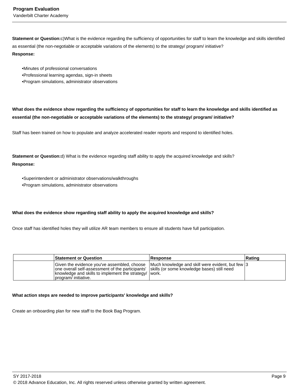**Statement or Question:**c) What is the evidence regarding the sufficiency of opportunities for staff to learn the knowledge and skills identified as essential (the non-negotiable or acceptable variations of the elements) to the strategy/ program/ initiative? **Response:**

• Minutes of professional conversations

- Professional learning agendas, sign-in sheets
- Program simulations, administrator observations

**What does the evidence show regarding the sufficiency of opportunities for staff to learn the knowledge and skills identified as essential (the non-negotiable or acceptable variations of the elements) to the strategy/ program/ initiative?** 

Staff has been trained on how to populate and analyze accelerated reader reports and respond to identified holes.

**Statement or Question:**d) What is the evidence regarding staff ability to apply the acquired knowledge and skills? **Response:**

• Superintendent or administrator observations/walkthroughs • Program simulations, administrator observations

#### **What does the evidence show regarding staff ability to apply the acquired knowledge and skills?**

Once staff has identified holes they will utilize AR team members to ensure all students have full participation.

| <b>Statement or Question</b>                                                                                                                                                                                                  | <b>Response</b>                                  | Rating |
|-------------------------------------------------------------------------------------------------------------------------------------------------------------------------------------------------------------------------------|--------------------------------------------------|--------|
| Given the evidence you've assembled, choose<br>one overall self-assessment of the participants' skills (or some knowledge bases) still need<br>knowledge and skills to implement the strategy/ work.<br>Iprogram/ initiative. | Much knowledge and skill were evident, but few 3 |        |

#### **What action steps are needed to improve participants' knowledge and skills?**

Create an onboarding plan for new staff to the Book Bag Program.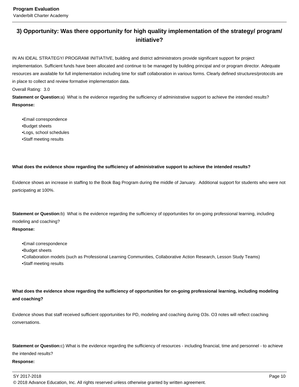# **3) Opportunity: Was there opportunity for high quality implementation of the strategy/ program/ initiative?**

IN AN IDEAL STRATEGY/ PROGRAM/ INITIATIVE, building and district administrators provide significant support for project implementation. Sufficient funds have been allocated and continue to be managed by building principal and or program director. Adequate resources are available for full implementation including time for staff collaboration in various forms. Clearly defined structures/protocols are in place to collect and review formative implementation data.

Overall Rating: 3.0

**Statement or Question:**a) What is the evidence regarding the sufficiency of administrative support to achieve the intended results? **Response:**

• Email correspondence • Budget sheets • Logs, school schedules • Staff meeting results

#### **What does the evidence show regarding the sufficiency of administrative support to achieve the intended results?**

Evidence shows an increase in staffing to the Book Bag Program during the middle of January. Additional support for students who were not participating at 100%.

**Statement or Question:**b) What is the evidence regarding the sufficiency of opportunities for on-going professional learning, including modeling and coaching? **Response:**

• Email correspondence

• Budget sheets

• Collaboration models (such as Professional Learning Communities, Collaborative Action Research, Lesson Study Teams) • Staff meeting results

**What does the evidence show regarding the sufficiency of opportunities for on-going professional learning, including modeling and coaching?**

Evidence shows that staff received sufficient opportunities for PD, modeling and coaching during O3s. O3 notes will reflect coaching conversations.

**Statement or Question:**c) What is the evidence regarding the sufficiency of resources - including financial, time and personnel - to achieve the intended results?

#### **Response:**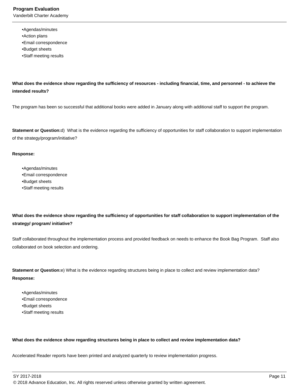• Agendas/minutes • Action plans • Email correspondence • Budget sheets • Staff meeting results

**What does the evidence show regarding the sufficiency of resources - including financial, time, and personnel - to achieve the intended results?**

The program has been so successful that additional books were added in January along with additional staff to support the program.

**Statement or Question:**d) What is the evidence regarding the sufficiency of opportunities for staff collaboration to support implementation of the strategy/program/initiative?

#### **Response:**

• Agendas/minutes • Email correspondence • Budget sheets • Staff meeting results

**What does the evidence show regarding the sufficiency of opportunities for staff collaboration to support implementation of the strategy/ program/ initiative?**

Staff collaborated throughout the implementation process and provided feedback on needs to enhance the Book Bag Program. Staff also collaborated on book selection and ordering.

**Statement or Question:**e) What is the evidence regarding structures being in place to collect and review implementation data? **Response:**

• Agendas/minutes • Email correspondence • Budget sheets • Staff meeting results

#### **What does the evidence show regarding structures being in place to collect and review implementation data?**

Accelerated Reader reports have been printed and analyzed quarterly to review implementation progress.

SY 2017-2018 Page 11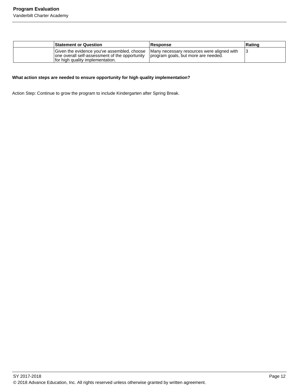| <b>Statement or Question</b>                                                                                                                                                                                         | <b>Response</b> | Rating |
|----------------------------------------------------------------------------------------------------------------------------------------------------------------------------------------------------------------------|-----------------|--------|
| Given the evidence you've assembled, choose   Many necessary resources were aligned with<br>one overall self-assessment of the opportunity   program goals, but more are needed.<br>for high quality implementation. |                 |        |

#### **What action steps are needed to ensure opportunity for high quality implementation?**

Action Step: Continue to grow the program to include Kindergarten after Spring Break.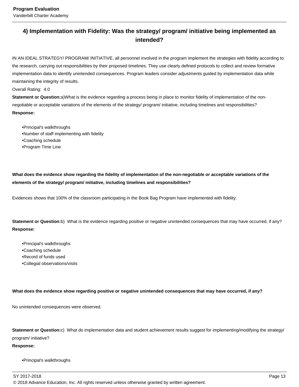# **4) Implementation with Fidelity: Was the strategy/ program/ initiative being implemented as intended?**

IN AN IDEAL STRATEGY/ PROGRAM/ INITIATIVE, all personnel involved in the program implement the strategies with fidelity according to the research, carrying out responsibilities by their proposed timelines. They use clearly defined protocols to collect and review formative implementation data to identify unintended consequences. Program leaders consider adjustments guided by implementation data while maintaining the integrity of results.

Overall Rating: 4.0

**Statement or Question:**a) What is the evidence regarding a process being in place to monitor fidelity of implementation of the nonnegotiable or acceptable variations of the elements of the strategy/ program/ initiative, including timelines and responsibilities? **Response:**

• Principal's walkthroughs • Number of staff implementing with fidelity • Coaching schedule • Program Time Line

**What does the evidence show regarding the fidelity of implementation of the non-negotiable or acceptable variations of the elements of the strategy/ program/ initiative, including timelines and responsibilities?**

Evidences shows that 100% of the classroom participating in the Book Bag Program have implemented with fidelity.

**Statement or Question:**b) What is the evidence regarding positive or negative unintended consequences that may have occurred, if any? **Response:**

- Principal's walkthroughs
- Coaching schedule
- Record of funds used
- Collegial observations/visits

#### **What does the evidence show regarding positive or negative unintended consequences that may have occurred, if any?**

No unintended consequences were observed.

**Statement or Question:**c) What do implementation data and student achievement results suggest for implementing/modifying the strategy/ program/ initiative?

### **Response:**

• Principal's walkthroughs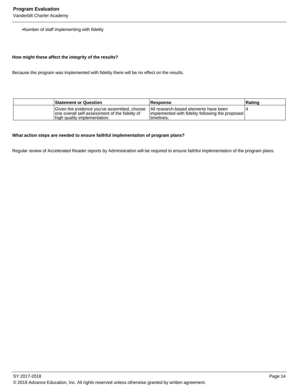•Number of staff implementing with fidelity

#### **How might these affect the integrity of the results?**

Because the program was implemented with fidelity there will be no effect on the results.

| <b>Statement or Question</b>                                                                                                                                          | <b>Response</b>                                                 | Rating |
|-----------------------------------------------------------------------------------------------------------------------------------------------------------------------|-----------------------------------------------------------------|--------|
| Given the evidence you've assembled, choose   All research-based elements have been<br>one overall self-assessment of the fidelity of<br>high quality implementation. | implemented with fidelity following the proposed<br>Itimelines. |        |

#### **What action steps are needed to ensure faithful implementation of program plans?**

Regular review of Accelerated Reader reports by Administration will be required to ensure faithful implementation of the program plans.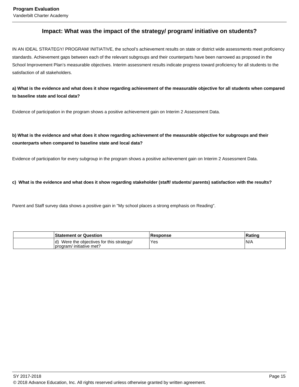# **Impact: What was the impact of the strategy/ program/ initiative on students?**

IN AN IDEAL STRATEGY/ PROGRAM/ INITIATIVE, the school's achievement results on state or district wide assessments meet proficiency standards. Achievement gaps between each of the relevant subgroups and their counterparts have been narrowed as proposed in the School Improvement Plan's measurable objectives. Interim assessment results indicate progress toward proficiency for all students to the satisfaction of all stakeholders.

**a) What is the evidence and what does it show regarding achievement of the measurable objective for all students when compared to baseline state and local data?** 

Evidence of participation in the program shows a positive achievement gain on Interim 2 Assessment Data.

# **b) What is the evidence and what does it show regarding achievement of the measurable objective for subgroups and their counterparts when compared to baseline state and local data?**

Evidence of participation for every subgroup in the program shows a positive achievement gain on Interim 2 Assessment Data.

**c) What is the evidence and what does it show regarding stakeholder (staff/ students/ parents) satisfaction with the results?** 

Parent and Staff survey data shows a positive gain in "My school places a strong emphasis on Reading".

| <b>Statement or Question</b>                                       | Response | Rating |
|--------------------------------------------------------------------|----------|--------|
| Were the objectives for this strategy/<br>program/ initiative met? | 'Yes     | 'N/A   |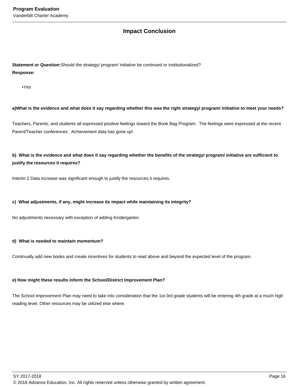# **Impact Conclusion**

**Statement or Question:**Should the strategy/ program/ initiative be continued or institutionalized? **Response:**

• Yes

#### **a) What is the evidence and what does it say regarding whether this was the right strategy/ program/ initiative to meet your needs?**

Teachers, Parents, and students all expressed positive feelings toward the Book Bag Program. The feelings were expressed at the recent Parent/Teacher conferences. Achievement data has gone up!

**b) What is the evidence and what does it say regarding whether the benefits of the strategy/ program/ initiative are sufficient to justify the resources it requires?**

Interim 2 Data increase was significant enough to justify the resources it requires.

#### **c) What adjustments, if any, might increase its impact while maintaining its integrity?**

No adjustments necessary with exception of adding Kindergarten.

#### **d) What is needed to maintain momentum?**

Continually add new books and create incentives for students to read above and beyond the expected level of the program.

#### **e) How might these results inform the School/District Improvement Plan?**

The School Improvement Plan may need to take into consideration that the 1st-3rd grade students will be entering 4th grade at a much high reading level. Other resources may be utilized else where.